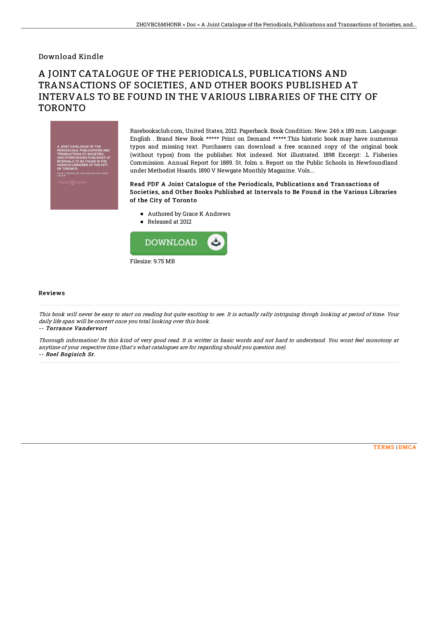### Download Kindle

# A JOINT CATALOGUE OF THE PERIODICALS, PUBLICATIONS AND TRANSACTIONS OF SOCIETIES, AND OTHER BOOKS PUBLISHED AT INTERVALS TO BE FOUND IN THE VARIOUS LIBRARIES OF THE CITY OF TORONTO



Rarebooksclub.com, United States, 2012. Paperback. Book Condition: New. 246 x 189 mm. Language: English . Brand New Book \*\*\*\*\* Print on Demand \*\*\*\*\*.This historic book may have numerous typos and missing text. Purchasers can download a free scanned copy of the original book (without typos) from the publisher. Not indexed. Not illustrated. 1898 Excerpt: .L Fisheries Commission. Annual Report for 1889. St. folm s. Report on the Public Schools in Newfoundland under Methodist Hoards. 1890 V Newgate Monthly Magazine. Vols....

#### Read PDF A Joint Catalogue of the Periodicals, Publications and Transactions of Societies, and Other Books Published at Intervals to Be Found in the Various Libraries of the City of Toronto

- Authored by Grace K Andrews
- Released at 2012



#### Reviews

This book will never be easy to start on reading but quite exciting to see. It is actually rally intriguing throgh looking at period of time. Your daily life span will be convert once you total looking over this book.

-- Torrance Vandervort

Thorough information! Its this kind of very good read. It is writter in basic words and not hard to understand. You wont feel monotony at anytime of your respective time (that's what catalogues are for regarding should you question me). -- Roel Bogisich Sr.